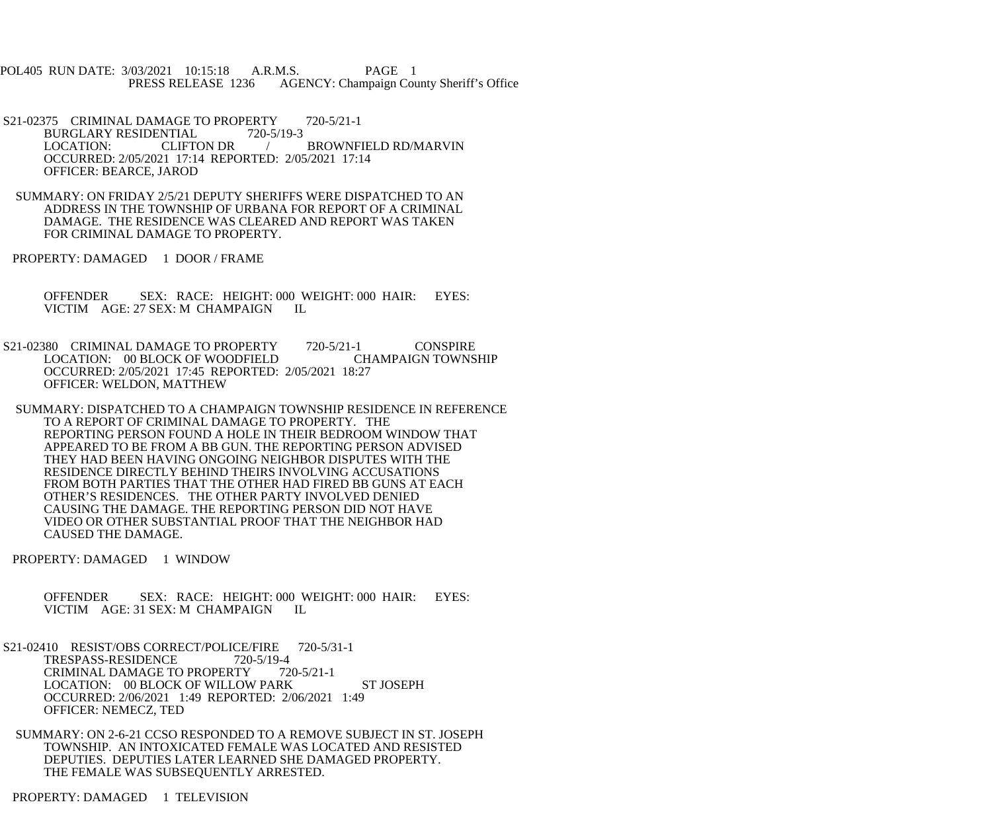POL405 RUN DATE: 3/03/2021 10:15:18 A.R.M.S. PAGE 1 PRESS RELEASE 1236 AGENCY: Champaign County Sheriff's Office

- S21-02375 CRIMINAL DAMAGE TO PROPERTY 720-5/21-1<br>BURGLARY RESIDENTIAL 720-5/19-3 BURGLARY RESIDENTIAL LOCATION: CLIFTON DR / BROWNFIELD RD/MARVIN OCCURRED: 2/05/2021 17:14 REPORTED: 2/05/2021 17:14 OFFICER: BEARCE, JAROD
- SUMMARY: ON FRIDAY 2/5/21 DEPUTY SHERIFFS WERE DISPATCHED TO AN ADDRESS IN THE TOWNSHIP OF URBANA FOR REPORT OF A CRIMINAL DAMAGE. THE RESIDENCE WAS CLEARED AND REPORT WAS TAKEN FOR CRIMINAL DAMAGE TO PROPERTY.
- PROPERTY: DAMAGED 1 DOOR / FRAME
	- OFFENDER SEX: RACE: HEIGHT: 000 WEIGHT: 000 HAIR: EYES: VICTIM AGE: 27 SEX: M CHAMPAIGN IL
- S21-02380 CRIMINAL DAMAGE TO PROPERTY 720-5/21-1 CONSPIRE<br>LOCATION: 00 BLOCK OF WOODFIELD CHAMPAIGN TOWNSHIP LOCATION: 00 BLOCK OF WOODFIELD OCCURRED: 2/05/2021 17:45 REPORTED: 2/05/2021 18:27 OFFICER: WELDON, MATTHEW
- SUMMARY: DISPATCHED TO A CHAMPAIGN TOWNSHIP RESIDENCE IN REFERENCE TO A REPORT OF CRIMINAL DAMAGE TO PROPERTY. THE REPORTING PERSON FOUND A HOLE IN THEIR BEDROOM WINDOW THAT APPEARED TO BE FROM A BB GUN. THE REPORTING PERSON ADVISED THEY HAD BEEN HAVING ONGOING NEIGHBOR DISPUTES WITH THE RESIDENCE DIRECTLY BEHIND THEIRS INVOLVING ACCUSATIONS FROM BOTH PARTIES THAT THE OTHER HAD FIRED BB GUNS AT EACH OTHER'S RESIDENCES. THE OTHER PARTY INVOLVED DENIED CAUSING THE DAMAGE. THE REPORTING PERSON DID NOT HAVE VIDEO OR OTHER SUBSTANTIAL PROOF THAT THE NEIGHBOR HAD CAUSED THE DAMAGE.
- PROPERTY: DAMAGED 1 WINDOW
	- OFFENDER SEX: RACE: HEIGHT: 000 WEIGHT: 000 HAIR: EYES: VICTIM AGE: 31 SEX: M CHAMPAIGN IL
- S21-02410 RESIST/OBS CORRECT/POLICE/FIRE 720-5/31-1<br>TRESPASS-RESIDENCE 720-5/19-4 TRESPASS-RESIDENCE 720-5/19-4<br>CRIMINAL DAMAGE TO PROPERTY 720-5/21-1 CRIMINAL DAMAGE TO PROPERTY LOCATION: 00 BLOCK OF WILLOW PARK ST JOSEPH OCCURRED: 2/06/2021 1:49 REPORTED: 2/06/2021 1:49 OFFICER: NEMECZ, TED
	- SUMMARY: ON 2-6-21 CCSO RESPONDED TO A REMOVE SUBJECT IN ST. JOSEPH TOWNSHIP. AN INTOXICATED FEMALE WAS LOCATED AND RESISTED DEPUTIES. DEPUTIES LATER LEARNED SHE DAMAGED PROPERTY. THE FEMALE WAS SUBSEQUENTLY ARRESTED.
- PROPERTY: DAMAGED 1 TELEVISION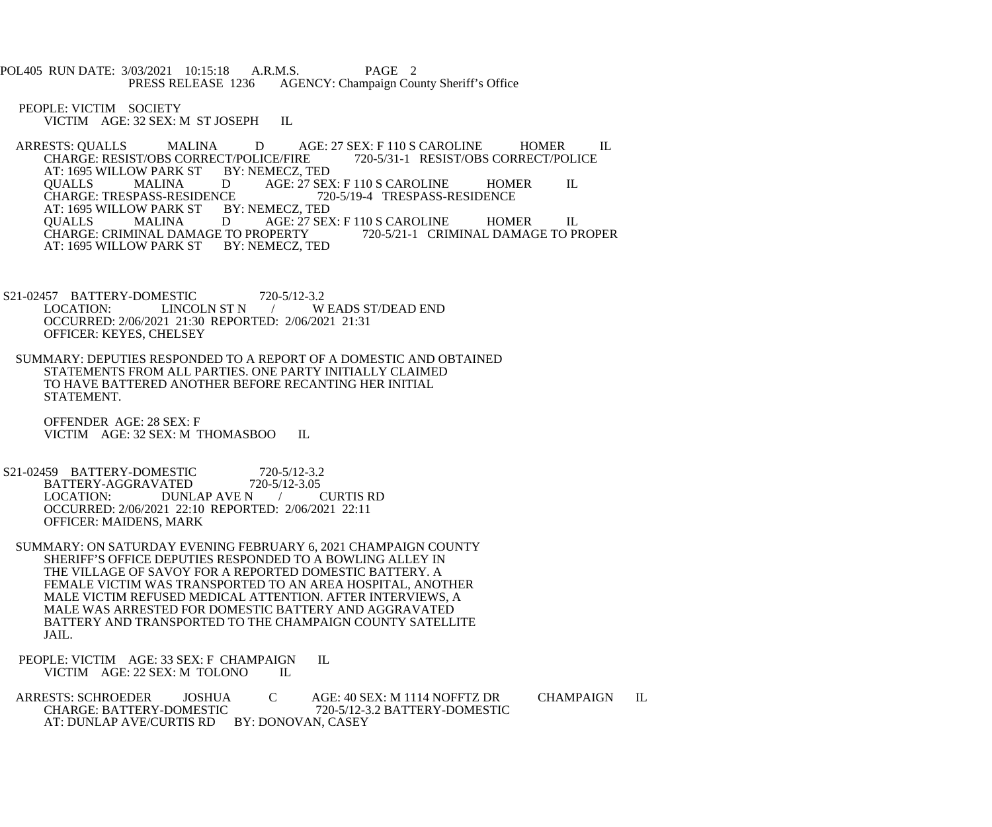POL405 RUN DATE: 3/03/2021 10:15:18 A.R.M.S. PAGE 2<br>PRESS RELEASE 1236 AGENCY: Champaign Cou AGENCY: Champaign County Sheriff's Office

 PEOPLE: VICTIM SOCIETY VICTIM AGE: 32 SEX: M ST JOSEPH IL

ARRESTS: QUALLS MALINA D AGE: 27 SEX: F 110 S CAROLINE HOMER IL CHARGE: RESIST/OBS CORRECT/POLICE/FIRE 720-5/31-1 RESIST/OBS CORRECT/POLICE CHARGE: RESIST/OBS CORRECT/POLICE/FIRE<br>AT: 1695 WILLOW PARK ST BY: NEMECZ, TED AT: 1695 WILLOW PARK ST B<br>QUALLS MALINA D AGE: 27 SEX: F 110 S CAROLINE HOMER IL<br>
720-5/19-4 TRESPASS-RESIDENCE CHARGE: TRESPASS-RESIDENCE 720<br>AT: 1695 WILLOW PARK ST BY: NEMECZ. TED AT: 1695 WILLOW PARK ST QUALLS MALINA D AGE: 27 SEX: F 110 S CAROLINE HOMER IL<br>CHARGE: CRIMINAL DAMAGE TO PROPERTY 720-5/21-1 CRIMINAL DAMAGE TO PROPER CHARGE: CRIMINAL DAMAGE TO PROPERTY<br>AT: 1695 WILLOW PARK ST BY: NEMECZ, TED AT: 1695 WILLOW PARK ST

S21-02457 BATTERY-DOMESTIC 720-5/12-3.2<br>LOCATION: LINCOLN ST N / W W EADS ST/DEAD END OCCURRED: 2/06/2021 21:30 REPORTED: 2/06/2021 21:31 OFFICER: KEYES, CHELSEY

 SUMMARY: DEPUTIES RESPONDED TO A REPORT OF A DOMESTIC AND OBTAINED STATEMENTS FROM ALL PARTIES. ONE PARTY INITIALLY CLAIMED TO HAVE BATTERED ANOTHER BEFORE RECANTING HER INITIAL STATEMENT.

 OFFENDER AGE: 28 SEX: F VICTIM AGE: 32 SEX: M THOMASBOO IL

S21-02459 BATTERY-DOMESTIC 720-5/12-3.2<br>BATTERY-AGGRAVATED 720-5/12-3.05 BATTERY-AGGRAVATED<br>LOCATION: DUNL DUNLAP AVE N / CURTIS RD OCCURRED: 2/06/2021 22:10 REPORTED: 2/06/2021 22:11 OFFICER: MAIDENS, MARK

- SUMMARY: ON SATURDAY EVENING FEBRUARY 6, 2021 CHAMPAIGN COUNTY SHERIFF'S OFFICE DEPUTIES RESPONDED TO A BOWLING ALLEY IN THE VILLAGE OF SAVOY FOR A REPORTED DOMESTIC BATTERY. A FEMALE VICTIM WAS TRANSPORTED TO AN AREA HOSPITAL, ANOTHER MALE VICTIM REFUSED MEDICAL ATTENTION. AFTER INTERVIEWS, A MALE WAS ARRESTED FOR DOMESTIC BATTERY AND AGGRAVATED BATTERY AND TRANSPORTED TO THE CHAMPAIGN COUNTY SATELLITE JAIL.
- PEOPLE: VICTIM AGE: 33 SEX: F CHAMPAIGN IL VICTIM AGE: 22 SEX: M TOLONO IL

ARRESTS: SCHROEDER JOSHUA C AGE: 40 SEX: M 1114 NOFFTZ DR CHAMPAIGN IL CHARGE: BATTERY-DOMESTIC 720-5/12-3.2 BATTERY-DOMESTIC CHARGE: BATTERY-DOMESTIC 720-5/12-3.2 BATTERY-DOMESTIC AT: DUNLAP AVE/CURTIS RD BY: DONOVAN, CASEY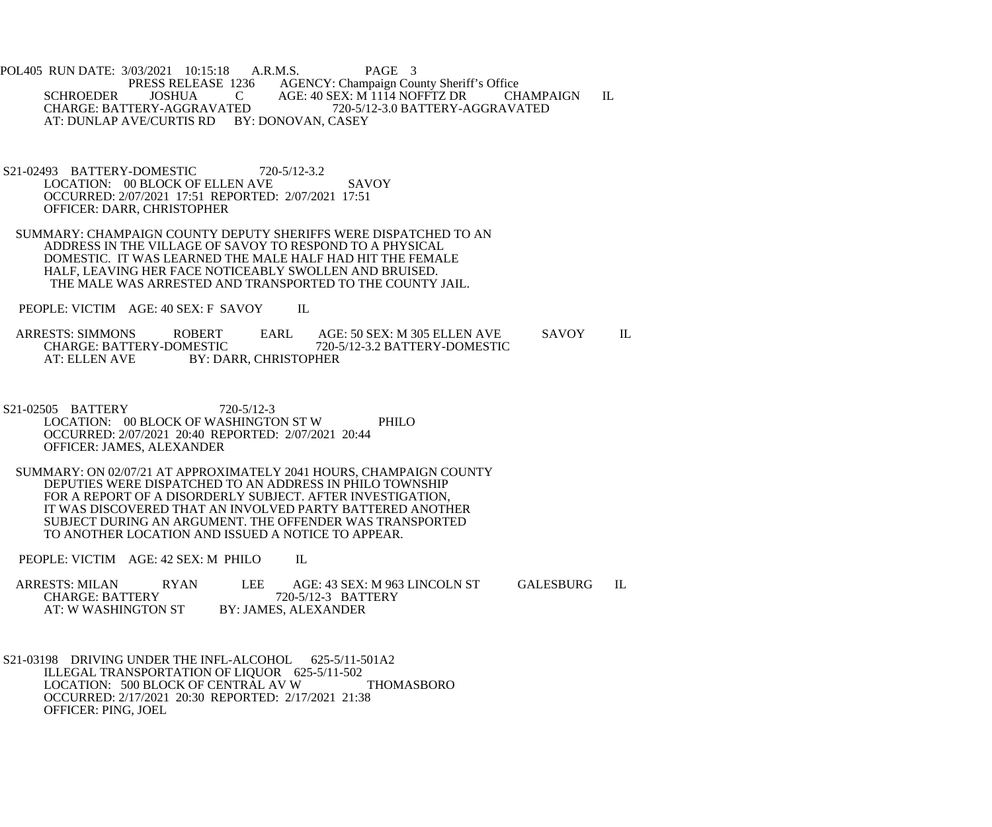POL405 RUN DATE: 3/03/2021 10:15:18 A.R.M.S. PAGE 3<br>PRESS RELEASE 1236 AGENCY: Champaign Cou PRESS RELEASE 1236 AGENCY: Champaign County Sheriff's Office<br>SCHROEDER JOSHUA C AGE: 40 SEX: M 1114 NOFFTZ DR CH SCHROEDER JOSHUA C AGE: 40 SEX: M 1114 NOFFTZ DR CHAMPAIGN IL<br>CHARGE: BATTERY-AGGRAVATED 720-5/12-3.0 BATTERY-AGGRAVATED CHARGE: BATTERY-AGGRAVATED 720-5/12-3.0 BATTERY-AGGRAVATED AT: DUNLAP AVE/CURTIS RD BY: DONOVAN, CASEY

- S21-02493 BATTERY-DOMESTIC 720-5/12-3.2 LOCATION: 00 BLOCK OF ELLEN AVE SAVOY OCCURRED: 2/07/2021 17:51 REPORTED: 2/07/2021 17:51 OFFICER: DARR, CHRISTOPHER
- SUMMARY: CHAMPAIGN COUNTY DEPUTY SHERIFFS WERE DISPATCHED TO AN ADDRESS IN THE VILLAGE OF SAVOY TO RESPOND TO A PHYSICAL DOMESTIC. IT WAS LEARNED THE MALE HALF HAD HIT THE FEMALE HALF, LEAVING HER FACE NOTICEABLY SWOLLEN AND BRUISED. THE MALE WAS ARRESTED AND TRANSPORTED TO THE COUNTY JAIL.

PEOPLE: VICTIM AGE: 40 SEX: F SAVOY IL

ARRESTS: SIMMONS ROBERT EARL AGE: 50 SEX: M 305 ELLEN AVE SAVOY IL CHARGE: BATTERY-DOMESTIC 720-5/12-3.2 BATTERY-DOMESTIC CHARGE: BATTERY-DOMESTIC 720-5/12-3.2 BATTERY-DOMESTIC<br>AT: ELLEN AVE BY: DARR, CHRISTOPHER BY: DARR, CHRISTOPHER

- S21-02505 BATTERY 720-5/12-3 LOCATION: 00 BLOCK OF WASHINGTON ST W PHILO OCCURRED: 2/07/2021 20:40 REPORTED: 2/07/2021 20:44 OFFICER: JAMES, ALEXANDER
- SUMMARY: ON 02/07/21 AT APPROXIMATELY 2041 HOURS, CHAMPAIGN COUNTY DEPUTIES WERE DISPATCHED TO AN ADDRESS IN PHILO TOWNSHIP FOR A REPORT OF A DISORDERLY SUBJECT. AFTER INVESTIGATION, IT WAS DISCOVERED THAT AN INVOLVED PARTY BATTERED ANOTHER SUBJECT DURING AN ARGUMENT. THE OFFENDER WAS TRANSPORTED TO ANOTHER LOCATION AND ISSUED A NOTICE TO APPEAR.

PEOPLE: VICTIM AGE: 42 SEX: M PHILO IL

| <b>ARRESTS: MILAN</b> | <b>RYAN</b> | LEE                  | AGE: 43 SEX: M 963 LINCOLN ST |  | GALESBURG |  |
|-----------------------|-------------|----------------------|-------------------------------|--|-----------|--|
| CHARGE: BATTERY       |             | 720-5/12-3 BATTERY   |                               |  |           |  |
| AT: W WASHINGTON ST   |             | BY: JAMES, ALEXANDER |                               |  |           |  |

 S21-03198 DRIVING UNDER THE INFL-ALCOHOL 625-5/11-501A2 ILLEGAL TRANSPORTATION OF LIQUOR 625-5/11-502 LOCATION: 500 BLOCK OF CENTRAL AV W THOMASBORO OCCURRED: 2/17/2021 20:30 REPORTED: 2/17/2021 21:38 OFFICER: PING, JOEL